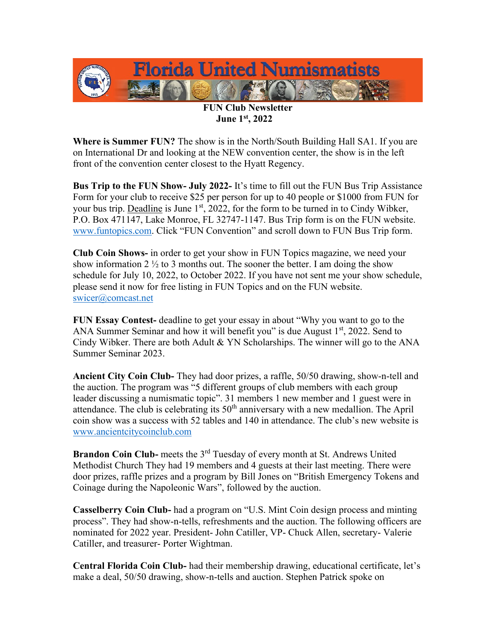

**FUN Club Newsletter June 1st, 2022**

**Where is Summer FUN?** The show is in the North/South Building Hall SA1. If you are on International Dr and looking at the NEW convention center, the show is in the left front of the convention center closest to the Hyatt Regency.

**Bus Trip to the FUN Show- July 2022-** It's time to fill out the FUN Bus Trip Assistance Form for your club to receive \$25 per person for up to 40 people or \$1000 from FUN for your bus trip. Deadline is June  $1<sup>st</sup>$ , 2022, for the form to be turned in to Cindy Wibker, P.O. Box 471147, Lake Monroe, FL 32747-1147. Bus Trip form is on the FUN website. [www.funtopics.com](http://www.funtopics.com/). Click "FUN Convention" and scroll down to FUN Bus Trip form.

**Club Coin Shows-** in order to get your show in FUN Topics magazine, we need your show information 2  $\frac{1}{2}$  to 3 months out. The sooner the better. I am doing the show schedule for July 10, 2022, to October 2022. If you have not sent me your show schedule, please send it now for free listing in FUN Topics and on the FUN website. [swicer@comcast.net](mailto:swicer@comcast.net)

**FUN Essay Contest-** deadline to get your essay in about "Why you want to go to the ANA Summer Seminar and how it will benefit you" is due August  $1<sup>st</sup>$ , 2022. Send to Cindy Wibker. There are both Adult & YN Scholarships. The winner will go to the ANA Summer Seminar 2023.

**Ancient City Coin Club-** They had door prizes, a raffle, 50/50 drawing, show-n-tell and the auction. The program was "5 different groups of club members with each group leader discussing a numismatic topic". 31 members 1 new member and 1 guest were in attendance. The club is celebrating its  $50<sup>th</sup>$  anniversary with a new medallion. The April coin show was a success with 52 tables and 140 in attendance. The club's new website is [www.ancientcitycoinclub.com](http://www.ancientcitycoinclub.com/) 

**Brandon Coin Club-** meets the 3<sup>rd</sup> Tuesday of every month at St. Andrews United Methodist Church They had 19 members and 4 guests at their last meeting. There were door prizes, raffle prizes and a program by Bill Jones on "British Emergency Tokens and Coinage during the Napoleonic Wars", followed by the auction.

**Casselberry Coin Club-** had a program on "U.S. Mint Coin design process and minting process". They had show-n-tells, refreshments and the auction. The following officers are nominated for 2022 year. President- John Catiller, VP- Chuck Allen, secretary- Valerie Catiller, and treasurer- Porter Wightman.

**Central Florida Coin Club-** had their membership drawing, educational certificate, let's make a deal, 50/50 drawing, show-n-tells and auction. Stephen Patrick spoke on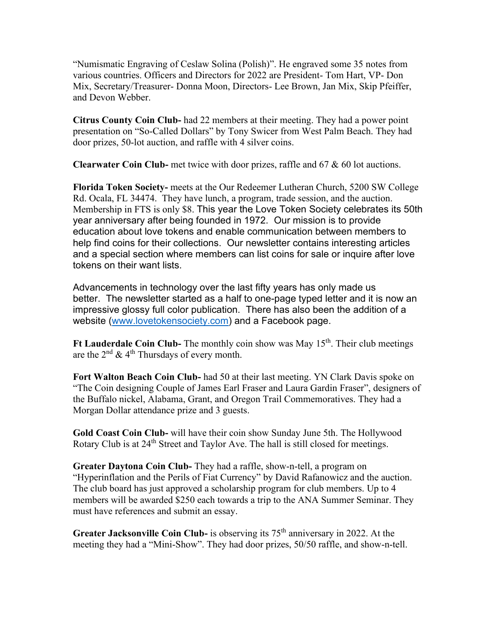"Numismatic Engraving of Ceslaw Solina (Polish)". He engraved some 35 notes from various countries. Officers and Directors for 2022 are President- Tom Hart, VP- Don Mix, Secretary/Treasurer- Donna Moon, Directors- Lee Brown, Jan Mix, Skip Pfeiffer, and Devon Webber.

**Citrus County Coin Club-** had 22 members at their meeting. They had a power point presentation on "So-Called Dollars" by Tony Swicer from West Palm Beach. They had door prizes, 50-lot auction, and raffle with 4 silver coins.

**Clearwater Coin Club-** met twice with door prizes, raffle and 67 & 60 lot auctions.

**Florida Token Society-** meets at the Our Redeemer Lutheran Church, 5200 SW College Rd. Ocala, FL 34474. They have lunch, a program, trade session, and the auction. Membership in FTS is only \$8. This year the Love Token Society celebrates its 50th year anniversary after being founded in 1972. Our mission is to provide education about love tokens and enable communication between members to help find coins for their collections. Our newsletter contains interesting articles and a special section where members can list coins for sale or inquire after love tokens on their want lists.

Advancements in technology over the last fifty years has only made us better. The newsletter started as a half to one-page typed letter and it is now an impressive glossy full color publication. There has also been the addition of a website [\(www.lovetokensociety.com\)](http://www.lovetokensociety.com/) and a Facebook page.

Ft Lauderdale Coin Club- The monthly coin show was May 15<sup>th</sup>. Their club meetings are the  $2<sup>nd</sup>$  & 4<sup>th</sup> Thursdays of every month.

**Fort Walton Beach Coin Club-** had 50 at their last meeting. YN Clark Davis spoke on "The Coin designing Couple of James Earl Fraser and Laura Gardin Fraser", designers of the Buffalo nickel, Alabama, Grant, and Oregon Trail Commemoratives. They had a Morgan Dollar attendance prize and 3 guests.

**Gold Coast Coin Club-** will have their coin show Sunday June 5th. The Hollywood Rotary Club is at 24<sup>th</sup> Street and Taylor Ave. The hall is still closed for meetings.

**Greater Daytona Coin Club-** They had a raffle, show-n-tell, a program on "Hyperinflation and the Perils of Fiat Currency" by David Rafanowicz and the auction. The club board has just approved a scholarship program for club members. Up to 4 members will be awarded \$250 each towards a trip to the ANA Summer Seminar. They must have references and submit an essay.

**Greater Jacksonville Coin Club-** is observing its 75<sup>th</sup> anniversary in 2022. At the meeting they had a "Mini-Show". They had door prizes, 50/50 raffle, and show-n-tell.